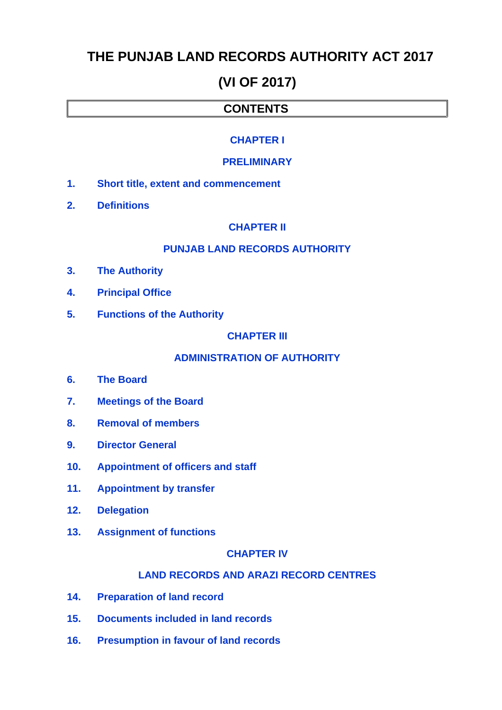# **THE PUNJAB LAND RECORDS AUTHORITY ACT 2017**

# **(VI OF 2017)**

# **CONTENTS**

## **[CHAPTER I](#page-2-2)**

#### **[PRELIMINARY](#page-2-2)**

- **1. [Short title, extent and commencement](#page-2-1)**
- **2. [Definitions](#page-2-0)**

## **[CHAPTER II](#page-3-3)**

#### **[PUNJAB LAND RECORDS AUTHORITY](#page-3-3)**

- **3. [The Authority](#page-3-2)**
- **4. [Principal Office](#page-3-1)**
- **5. [Functions of the Authority](#page-3-0)**

#### **[CHAPTER III](#page-4-1)**

# **[ADMINISTRATION OF AUTHORITY](#page-4-1)**

- **6. [The Board](#page-4-0)**
- **7. [Meetings of the Board](#page-5-1)**
- **8. [Removal of members](#page-5-0)**
- **9. [Director General](#page-6-3)**
- **10. [Appointment of officers and staff](#page-6-2)**
- **11. [Appointment by transfer](#page-6-1)**
- **12. [Delegation](#page-6-0)**
- **13. [Assignment of functions](#page-7-4)**

#### **[CHAPTER IV](#page-7-3)**

#### **[LAND RECORDS AND ARAZI RECORD CENTRES](#page-7-3)**

- **14. [Preparation of land record](#page-7-2)**
- **15. [Documents included in land records](#page-7-1)**
- **16. [Presumption in favour of land records](#page-7-0)**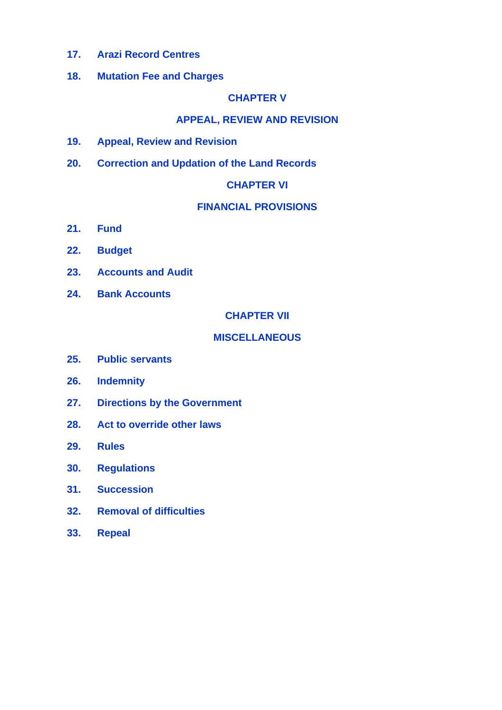- **17. [Arazi Record Centres](#page-7-9)**
- **18. [Mutation Fee and Charges](#page-7-8)**

# **[CHAPTER V](#page-7-7)**

# **[APPEAL, REVIEW AND REVISION](#page-7-7)**

- **19. [Appeal, Review and Revision](#page-7-6)**
- **20. [Correction and Updation of the Land Records](#page-7-5)**

#### **[CHAPTER VI](#page-8-4)**

## **[FINANCIAL PROVISIONS](#page-8-4)**

- **21. [Fund](#page-8-3)**
- **22. [Budget](#page-8-2)**
- **23. [Accounts and Audit](#page-8-1)**
- **24. [Bank Accounts](#page-8-0)**

**[CHAPTER VII](#page-9-7)**

## **[MISCELLANEOUS](#page-9-7)**

- **25. [Public servants](#page-9-6)**
- **26. [Indemnity](#page-9-5)**
- **27. [Directions by the Government](#page-9-4)**
- **28. [Act to override other laws](#page-9-3)**
- **29. [Rules](#page-9-2)**
- **30. [Regulations](#page-9-1)**
- **31. [Succession](#page-9-0)**
- **32. [Removal of difficulties](#page-10-1)**
- **33. [Repeal](#page-10-0)**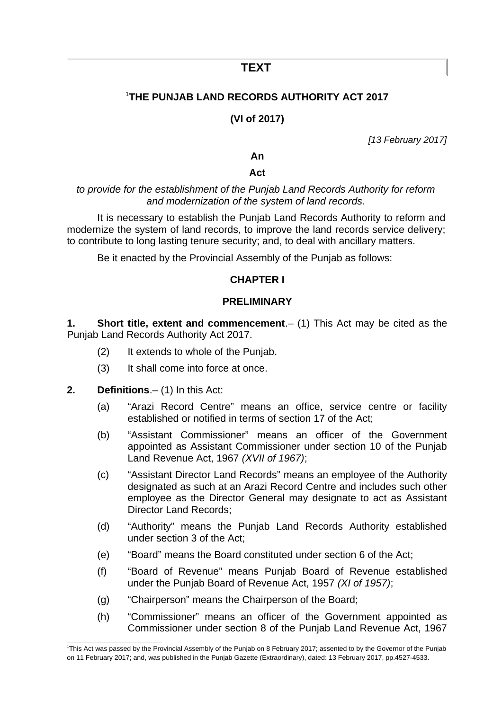# **TEXT**

# [1](#page-2-3)**THE PUNJAB LAND RECORDS AUTHORITY ACT 2017**

# **(VI of 2017)**

*[13 February 2017]*

**An**

#### **Act**

*to provide for the establishment of the Punjab Land Records Authority for reform and modernization of the system of land records.*

It is necessary to establish the Punjab Land Records Authority to reform and modernize the system of land records, to improve the land records service delivery; to contribute to long lasting tenure security; and, to deal with ancillary matters.

Be it enacted by the Provincial Assembly of the Punjab as follows:

#### <span id="page-2-2"></span>**CHAPTER I**

#### **PRELIMINARY**

**1. Short title, extent and commencement**.– (1) This Act may be cited as the Punjab Land Records Authority Act 2017.

- <span id="page-2-1"></span>(2) It extends to whole of the Punjab.
- <span id="page-2-0"></span>(3) It shall come into force at once.
- **2. Definitions**.– (1) In this Act:
	- (a) "Arazi Record Centre" means an office, service centre or facility established or notified in terms of section 17 of the Act;
	- (b) "Assistant Commissioner" means an officer of the Government appointed as Assistant Commissioner under section 10 of the Punjab Land Revenue Act, 1967 *(XVII of 1967)*;
	- (c) "Assistant Director Land Records" means an employee of the Authority designated as such at an Arazi Record Centre and includes such other employee as the Director General may designate to act as Assistant Director Land Records;
	- (d) "Authority" means the Punjab Land Records Authority established under section 3 of the Act;
	- (e) "Board" means the Board constituted under section 6 of the Act;
	- (f) "Board of Revenue" means Punjab Board of Revenue established under the Punjab Board of Revenue Act, 1957 *(XI of 1957)*;
	- (g) "Chairperson" means the Chairperson of the Board;
	- (h) "Commissioner" means an officer of the Government appointed as Commissioner under section 8 of the Punjab Land Revenue Act, 1967

<span id="page-2-3"></span><sup>&</sup>lt;sup>1</sup>This Act was passed by the Provincial Assembly of the Punjab on 8 February 2017; assented to by the Governor of the Punjab on 11 February 2017; and, was published in the Punjab Gazette (Extraordinary), dated: 13 February 2017, pp.4527-4533.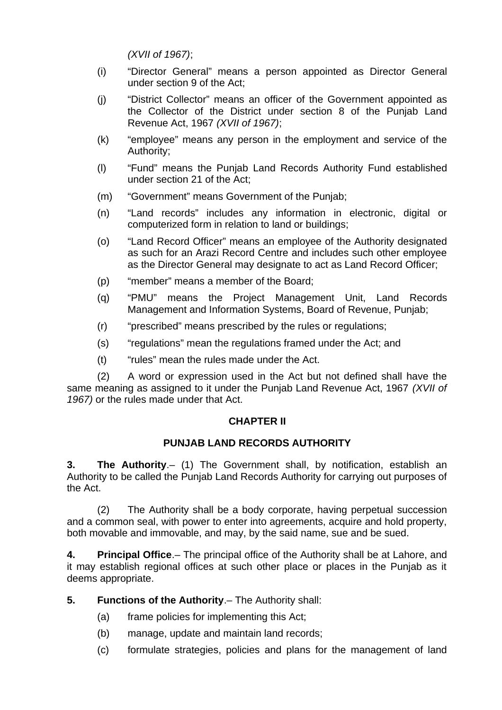*(XVII of 1967)*;

- (i) "Director General" means a person appointed as Director General under section 9 of the Act;
- (j) "District Collector" means an officer of the Government appointed as the Collector of the District under section 8 of the Punjab Land Revenue Act, 1967 *(XVII of 1967)*;
- (k) "employee" means any person in the employment and service of the Authority;
- (l) "Fund" means the Punjab Land Records Authority Fund established under section 21 of the Act;
- (m) "Government" means Government of the Punjab;
- (n) "Land records" includes any information in electronic, digital or computerized form in relation to land or buildings;
- (o) "Land Record Officer" means an employee of the Authority designated as such for an Arazi Record Centre and includes such other employee as the Director General may designate to act as Land Record Officer;
- (p) "member" means a member of the Board;
- (q) "PMU" means the Project Management Unit, Land Records Management and Information Systems, Board of Revenue, Punjab;
- (r) "prescribed" means prescribed by the rules or regulations;
- (s) "regulations" mean the regulations framed under the Act; and
- (t) "rules" mean the rules made under the Act.

(2) A word or expression used in the Act but not defined shall have the same meaning as assigned to it under the Punjab Land Revenue Act, 1967 *(XVII of 1967)* or the rules made under that Act.

# <span id="page-3-3"></span>**CHAPTER II**

# **PUNJAB LAND RECORDS AUTHORITY**

<span id="page-3-2"></span>**3. The Authority**.– (1) The Government shall, by notification, establish an Authority to be called the Punjab Land Records Authority for carrying out purposes of the Act.

(2) The Authority shall be a body corporate, having perpetual succession and a common seal, with power to enter into agreements, acquire and hold property, both movable and immovable, and may, by the said name, sue and be sued.

<span id="page-3-1"></span>**4. Principal Office**.– The principal office of the Authority shall be at Lahore, and it may establish regional offices at such other place or places in the Punjab as it deems appropriate.

**5. Functions of the Authority**.– The Authority shall:

- <span id="page-3-0"></span>(a) frame policies for implementing this Act;
- (b) manage, update and maintain land records;
- (c) formulate strategies, policies and plans for the management of land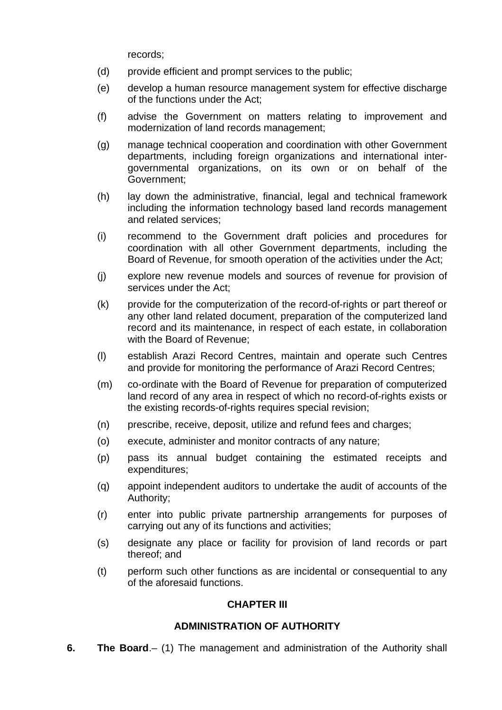records;

- (d) provide efficient and prompt services to the public;
- (e) develop a human resource management system for effective discharge of the functions under the Act;
- (f) advise the Government on matters relating to improvement and modernization of land records management;
- (g) manage technical cooperation and coordination with other Government departments, including foreign organizations and international intergovernmental organizations, on its own or on behalf of the Government;
- (h) lay down the administrative, financial, legal and technical framework including the information technology based land records management and related services;
- (i) recommend to the Government draft policies and procedures for coordination with all other Government departments, including the Board of Revenue, for smooth operation of the activities under the Act;
- (j) explore new revenue models and sources of revenue for provision of services under the Act;
- (k) provide for the computerization of the record-of-rights or part thereof or any other land related document, preparation of the computerized land record and its maintenance, in respect of each estate, in collaboration with the Board of Revenue;
- (l) establish Arazi Record Centres, maintain and operate such Centres and provide for monitoring the performance of Arazi Record Centres;
- (m) co-ordinate with the Board of Revenue for preparation of computerized land record of any area in respect of which no record-of-rights exists or the existing records-of-rights requires special revision;
- (n) prescribe, receive, deposit, utilize and refund fees and charges;
- (o) execute, administer and monitor contracts of any nature;
- (p) pass its annual budget containing the estimated receipts and expenditures;
- (q) appoint independent auditors to undertake the audit of accounts of the Authority;
- (r) enter into public private partnership arrangements for purposes of carrying out any of its functions and activities;
- (s) designate any place or facility for provision of land records or part thereof; and
- (t) perform such other functions as are incidental or consequential to any of the aforesaid functions.

#### <span id="page-4-1"></span>**CHAPTER III**

#### **ADMINISTRATION OF AUTHORITY**

<span id="page-4-0"></span>**6. The Board**.– (1) The management and administration of the Authority shall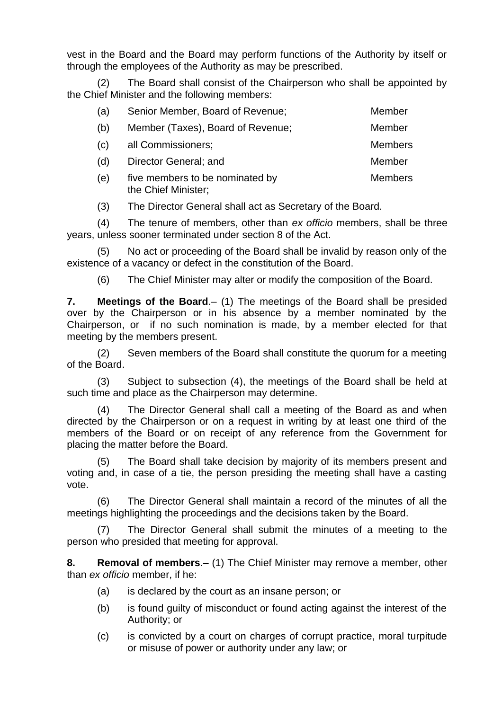vest in the Board and the Board may perform functions of the Authority by itself or through the employees of the Authority as may be prescribed.

(2) The Board shall consist of the Chairperson who shall be appointed by the Chief Minister and the following members:

| (a) | Senior Member, Board of Revenue;                       | Member         |
|-----|--------------------------------------------------------|----------------|
| (b) | Member (Taxes), Board of Revenue;                      | Member         |
| (c) | all Commissioners;                                     | <b>Members</b> |
| (d) | Director General; and                                  | Member         |
| (e) | five members to be nominated by<br>the Chief Minister; | <b>Members</b> |

(3) The Director General shall act as Secretary of the Board.

(4) The tenure of members, other than *ex officio* members, shall be three years, unless sooner terminated under section 8 of the Act.

(5) No act or proceeding of the Board shall be invalid by reason only of the existence of a vacancy or defect in the constitution of the Board.

<span id="page-5-1"></span>(6) The Chief Minister may alter or modify the composition of the Board.

**7. Meetings of the Board**.– (1) The meetings of the Board shall be presided over by the Chairperson or in his absence by a member nominated by the Chairperson, or if no such nomination is made, by a member elected for that meeting by the members present.

(2) Seven members of the Board shall constitute the quorum for a meeting of the Board.

(3) Subject to subsection (4), the meetings of the Board shall be held at such time and place as the Chairperson may determine.

(4) The Director General shall call a meeting of the Board as and when directed by the Chairperson or on a request in writing by at least one third of the members of the Board or on receipt of any reference from the Government for placing the matter before the Board.

(5) The Board shall take decision by majority of its members present and voting and, in case of a tie, the person presiding the meeting shall have a casting vote.

(6) The Director General shall maintain a record of the minutes of all the meetings highlighting the proceedings and the decisions taken by the Board.

(7) The Director General shall submit the minutes of a meeting to the person who presided that meeting for approval.

**8. Removal of members**.– (1) The Chief Minister may remove a member, other than *ex officio* member, if he:

- <span id="page-5-0"></span>(a) is declared by the court as an insane person; or
- (b) is found guilty of misconduct or found acting against the interest of the Authority; or
- (c) is convicted by a court on charges of corrupt practice, moral turpitude or misuse of power or authority under any law; or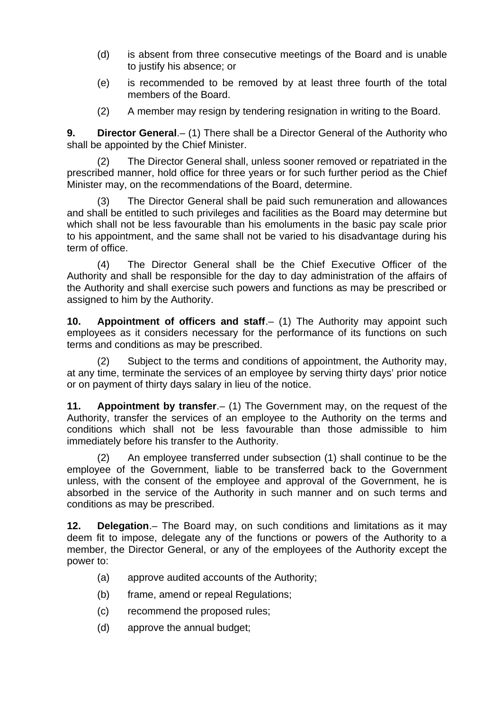- (d) is absent from three consecutive meetings of the Board and is unable to justify his absence; or
- (e) is recommended to be removed by at least three fourth of the total members of the Board.
- <span id="page-6-3"></span>(2) A member may resign by tendering resignation in writing to the Board.

**9. Director General**.– (1) There shall be a Director General of the Authority who shall be appointed by the Chief Minister.

(2) The Director General shall, unless sooner removed or repatriated in the prescribed manner, hold office for three years or for such further period as the Chief Minister may, on the recommendations of the Board, determine.

(3) The Director General shall be paid such remuneration and allowances and shall be entitled to such privileges and facilities as the Board may determine but which shall not be less favourable than his emoluments in the basic pay scale prior to his appointment, and the same shall not be varied to his disadvantage during his term of office.

(4) The Director General shall be the Chief Executive Officer of the Authority and shall be responsible for the day to day administration of the affairs of the Authority and shall exercise such powers and functions as may be prescribed or assigned to him by the Authority.

<span id="page-6-2"></span>**10. Appointment of officers and staff**.– (1) The Authority may appoint such employees as it considers necessary for the performance of its functions on such terms and conditions as may be prescribed.

(2) Subject to the terms and conditions of appointment, the Authority may, at any time, terminate the services of an employee by serving thirty days' prior notice or on payment of thirty days salary in lieu of the notice.

<span id="page-6-1"></span>**11. Appointment by transfer**.– (1) The Government may, on the request of the Authority, transfer the services of an employee to the Authority on the terms and conditions which shall not be less favourable than those admissible to him immediately before his transfer to the Authority.

(2) An employee transferred under subsection (1) shall continue to be the employee of the Government, liable to be transferred back to the Government unless, with the consent of the employee and approval of the Government, he is absorbed in the service of the Authority in such manner and on such terms and conditions as may be prescribed.

<span id="page-6-0"></span>**12. Delegation**.– The Board may, on such conditions and limitations as it may deem fit to impose, delegate any of the functions or powers of the Authority to a member, the Director General, or any of the employees of the Authority except the power to:

- (a) approve audited accounts of the Authority;
- (b) frame, amend or repeal Regulations;
- (c) recommend the proposed rules;
- (d) approve the annual budget;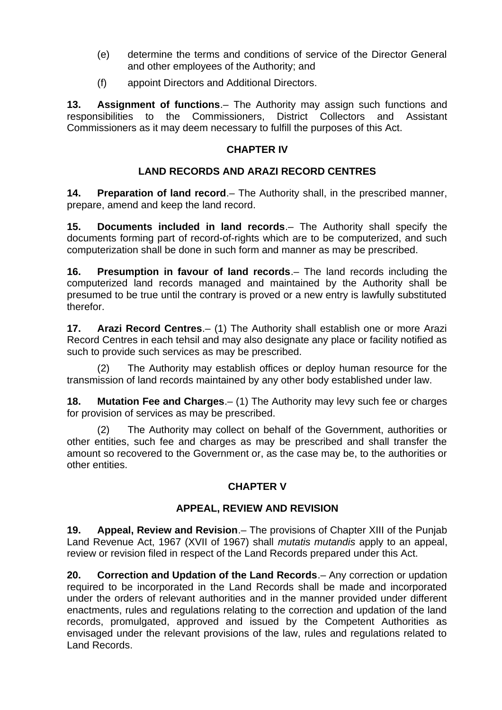- (e) determine the terms and conditions of service of the Director General and other employees of the Authority; and
- <span id="page-7-4"></span>(f) appoint Directors and Additional Directors.

**13. Assignment of functions**.– The Authority may assign such functions and responsibilities to the Commissioners, District Collectors and Assistant Commissioners as it may deem necessary to fulfill the purposes of this Act.

## <span id="page-7-3"></span>**CHAPTER IV**

# **LAND RECORDS AND ARAZI RECORD CENTRES**

<span id="page-7-2"></span>**14. Preparation of land record**.– The Authority shall, in the prescribed manner, prepare, amend and keep the land record.

<span id="page-7-1"></span>**15. Documents included in land records**.– The Authority shall specify the documents forming part of record-of-rights which are to be computerized, and such computerization shall be done in such form and manner as may be prescribed.

<span id="page-7-0"></span>**16. Presumption in favour of land records**.– The land records including the computerized land records managed and maintained by the Authority shall be presumed to be true until the contrary is proved or a new entry is lawfully substituted therefor.

<span id="page-7-9"></span>**17. Arazi Record Centres**.– (1) The Authority shall establish one or more Arazi Record Centres in each tehsil and may also designate any place or facility notified as such to provide such services as may be prescribed.

(2) The Authority may establish offices or deploy human resource for the transmission of land records maintained by any other body established under law.

<span id="page-7-8"></span>**18. Mutation Fee and Charges**.– (1) The Authority may levy such fee or charges for provision of services as may be prescribed.

The Authority may collect on behalf of the Government, authorities or other entities, such fee and charges as may be prescribed and shall transfer the amount so recovered to the Government or, as the case may be, to the authorities or other entities.

#### <span id="page-7-7"></span>**CHAPTER V**

#### **APPEAL, REVIEW AND REVISION**

<span id="page-7-6"></span>**19. Appeal, Review and Revision**.– The provisions of Chapter XIII of the Punjab Land Revenue Act, 1967 (XVII of 1967) shall *mutatis mutandis* apply to an appeal, review or revision filed in respect of the Land Records prepared under this Act.

<span id="page-7-5"></span>**20. Correction and Updation of the Land Records**.– Any correction or updation required to be incorporated in the Land Records shall be made and incorporated under the orders of relevant authorities and in the manner provided under different enactments, rules and regulations relating to the correction and updation of the land records, promulgated, approved and issued by the Competent Authorities as envisaged under the relevant provisions of the law, rules and regulations related to Land Records.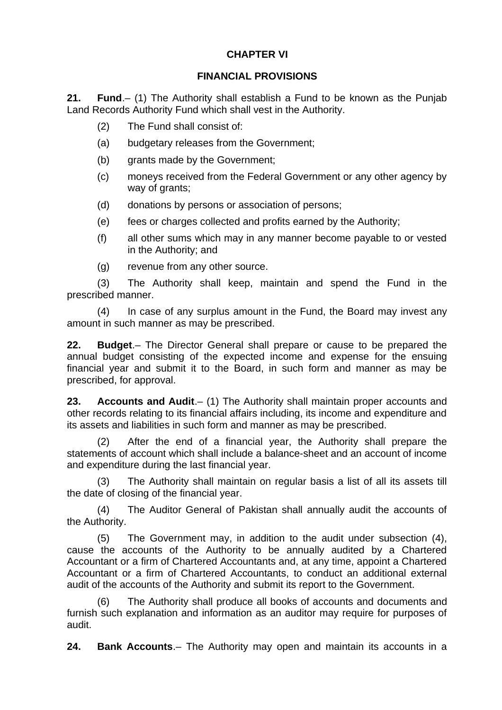# <span id="page-8-4"></span>**CHAPTER VI**

#### **FINANCIAL PROVISIONS**

**21. Fund**.– (1) The Authority shall establish a Fund to be known as the Punjab Land Records Authority Fund which shall vest in the Authority.

- <span id="page-8-3"></span>(2) The Fund shall consist of:
- (a) budgetary releases from the Government;
- (b) grants made by the Government;
- (c) moneys received from the Federal Government or any other agency by way of grants;
- (d) donations by persons or association of persons;
- (e) fees or charges collected and profits earned by the Authority;
- (f) all other sums which may in any manner become payable to or vested in the Authority; and
- (g) revenue from any other source.

(3) The Authority shall keep, maintain and spend the Fund in the prescribed manner.

(4) In case of any surplus amount in the Fund, the Board may invest any amount in such manner as may be prescribed.

<span id="page-8-2"></span>**22. Budget**.– The Director General shall prepare or cause to be prepared the annual budget consisting of the expected income and expense for the ensuing financial year and submit it to the Board, in such form and manner as may be prescribed, for approval.

<span id="page-8-1"></span>**23. Accounts and Audit**.– (1) The Authority shall maintain proper accounts and other records relating to its financial affairs including, its income and expenditure and its assets and liabilities in such form and manner as may be prescribed.

(2) After the end of a financial year, the Authority shall prepare the statements of account which shall include a balance-sheet and an account of income and expenditure during the last financial year.

(3) The Authority shall maintain on regular basis a list of all its assets till the date of closing of the financial year.

(4) The Auditor General of Pakistan shall annually audit the accounts of the Authority.

(5) The Government may, in addition to the audit under subsection (4), cause the accounts of the Authority to be annually audited by a Chartered Accountant or a firm of Chartered Accountants and, at any time, appoint a Chartered Accountant or a firm of Chartered Accountants, to conduct an additional external audit of the accounts of the Authority and submit its report to the Government.

The Authority shall produce all books of accounts and documents and furnish such explanation and information as an auditor may require for purposes of audit.

<span id="page-8-0"></span>**24. Bank Accounts**.– The Authority may open and maintain its accounts in a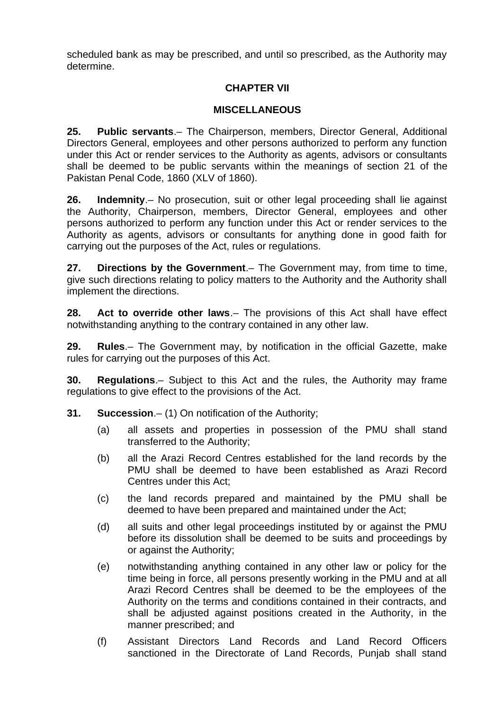scheduled bank as may be prescribed, and until so prescribed, as the Authority may determine.

#### <span id="page-9-7"></span>**CHAPTER VII**

#### **MISCELLANEOUS**

<span id="page-9-6"></span>**25. Public servants**.– The Chairperson, members, Director General, Additional Directors General, employees and other persons authorized to perform any function under this Act or render services to the Authority as agents, advisors or consultants shall be deemed to be public servants within the meanings of section 21 of the Pakistan Penal Code, 1860 (XLV of 1860).

<span id="page-9-5"></span>**26. Indemnity**.– No prosecution, suit or other legal proceeding shall lie against the Authority, Chairperson, members, Director General, employees and other persons authorized to perform any function under this Act or render services to the Authority as agents, advisors or consultants for anything done in good faith for carrying out the purposes of the Act, rules or regulations.

<span id="page-9-4"></span>**27. Directions by the Government**.– The Government may, from time to time, give such directions relating to policy matters to the Authority and the Authority shall implement the directions.

<span id="page-9-3"></span>**28. Act to override other laws**.– The provisions of this Act shall have effect notwithstanding anything to the contrary contained in any other law.

<span id="page-9-2"></span>**29. Rules**.– The Government may, by notification in the official Gazette, make rules for carrying out the purposes of this Act.

<span id="page-9-1"></span>**30. Regulations**.– Subject to this Act and the rules, the Authority may frame regulations to give effect to the provisions of the Act.

- <span id="page-9-0"></span>**31. Succession**.– (1) On notification of the Authority;
	- (a) all assets and properties in possession of the PMU shall stand transferred to the Authority;
	- (b) all the Arazi Record Centres established for the land records by the PMU shall be deemed to have been established as Arazi Record Centres under this Act;
	- (c) the land records prepared and maintained by the PMU shall be deemed to have been prepared and maintained under the Act;
	- (d) all suits and other legal proceedings instituted by or against the PMU before its dissolution shall be deemed to be suits and proceedings by or against the Authority;
	- (e) notwithstanding anything contained in any other law or policy for the time being in force, all persons presently working in the PMU and at all Arazi Record Centres shall be deemed to be the employees of the Authority on the terms and conditions contained in their contracts, and shall be adjusted against positions created in the Authority, in the manner prescribed; and
	- (f) Assistant Directors Land Records and Land Record Officers sanctioned in the Directorate of Land Records, Punjab shall stand